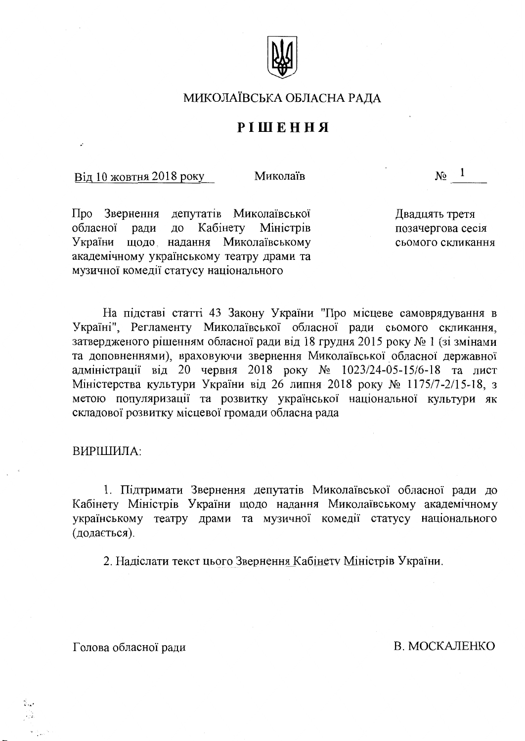

## МИКОЛАЇВСЬКА ОБЛАСНА РАДА

## PIШЕННЯ

#### Від 10 жовтня 2018 року

Миколаїв

 $N_2^{\circ}$  1

Про Звернення депутатів Миколаївської до Кабінету Міністрів обласної ради щодо надання Миколаївському України академічному українському театру драми та музичної комедії статусу національного

Двадцять третя позачергова сесія сьомого скликання

На підставі статті 43 Закону України "Про місцеве самоврядування в Україні", Регламенту Миколаївської обласної ради сьомого скликання, затвердженого рішенням обласної ради від 18 грудня 2015 року № 1 (зі змінами та доповненнями), враховуючи звернення Миколаївської обласної державної адміністрації від 20 червня 2018 року № 1023/24-05-15/6-18 та лист Міністерства культури України від 26 липня 2018 року № 1175/7-2/15-18, з метою популяризації та розвитку української національної культури як складової розвитку місцевої громади обласна рада

#### ВИРІШИЛА:

1. Підтримати Звернення депутатів Миколаївської обласної ради до Кабінету Міністрів України щодо надання Миколаївському академічному українському театру драми та музичної комедії статусу національного (додається).

2. Надіслати текст цього Звернення Кабінету Міністрів України.

Голова обласної ради

В. МОСКАЛЕНКО